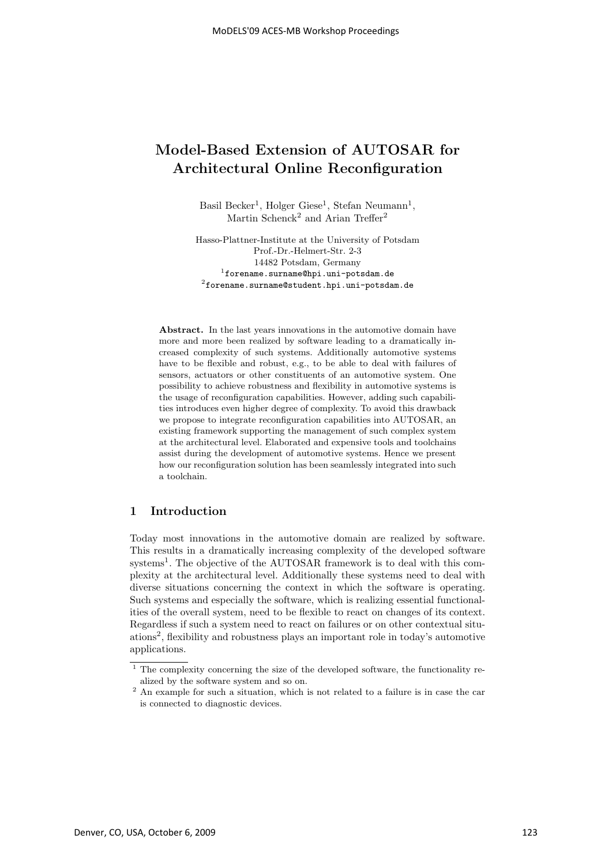# **Model-Based Extension of AUTOSAR for Architectural Online Reconfiguration**

Basil Becker<sup>1</sup>, Holger Giese<sup>1</sup>, Stefan Neumann<sup>1</sup>, Martin Schenck<sup>2</sup> and Arian Treffer<sup>2</sup>

Hasso-Plattner-Institute at the University of Potsdam Prof.-Dr.-Helmert-Str. 2-3 14482 Potsdam, Germany  $1$ forename.surname@hpi.uni-potsdam.de  $2$ forename.surname@student.hpi.uni-potsdam.de

**Abstract.** In the last years innovations in the automotive domain have more and more been realized by software leading to a dramatically increased complexity of such systems. Additionally automotive systems have to be flexible and robust, e.g., to be able to deal with failures of sensors, actuators or other constituents of an automotive system. One possibility to achieve robustness and flexibility in automotive systems is the usage of reconfiguration capabilities. However, adding such capabilities introduces even higher degree of complexity. To avoid this drawback we propose to integrate reconfiguration capabilities into AUTOSAR, an existing framework supporting the management of such complex system at the architectural level. Elaborated and expensive tools and toolchains assist during the development of automotive systems. Hence we present how our reconfiguration solution has been seamlessly integrated into such a toolchain.

## **1 Introduction**

Today most innovations in the automotive domain are realized by software. This results in a dramatically increasing complexity of the developed software systems<sup>1</sup>. The objective of the AUTOSAR framework is to deal with this complexity at the architectural level. Additionally these systems need to deal with diverse situations concerning the context in which the software is operating. Such systems and especially the software, which is realizing essential functionalities of the overall system, need to be flexible to react on changes of its context. Regardless if such a system need to react on failures or on other contextual situations<sup>2</sup>, flexibility and robustness plays an important role in today's automotive applications.

<sup>1</sup> The complexity concerning the size of the developed software, the functionality realized by the software system and so on.

<sup>&</sup>lt;sup>2</sup> An example for such a situation, which is not related to a failure is in case the car is connected to diagnostic devices.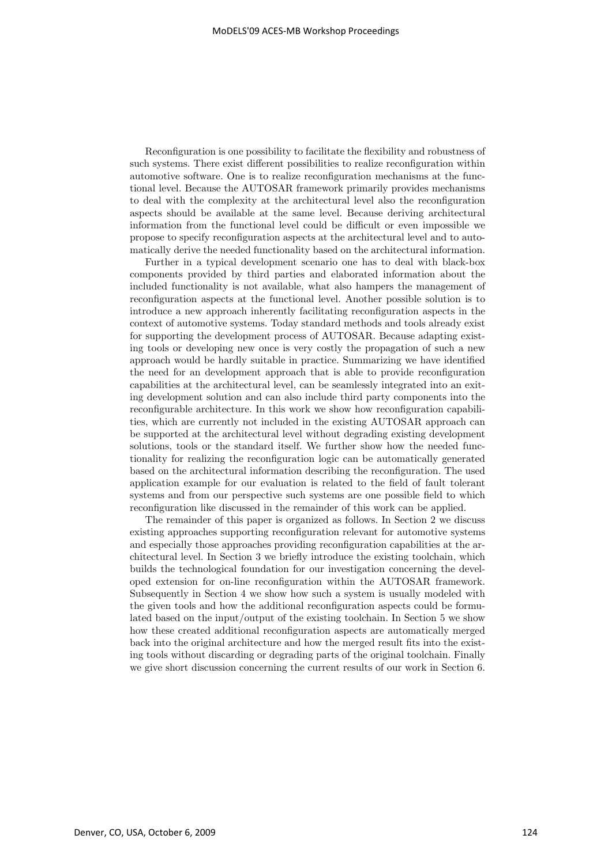Reconfiguration is one possibility to facilitate the flexibility and robustness of such systems. There exist different possibilities to realize reconfiguration within automotive software. One is to realize reconfiguration mechanisms at the functional level. Because the AUTOSAR framework primarily provides mechanisms to deal with the complexity at the architectural level also the reconfiguration aspects should be available at the same level. Because deriving architectural information from the functional level could be difficult or even impossible we propose to specify reconfiguration aspects at the architectural level and to automatically derive the needed functionality based on the architectural information.

Further in a typical development scenario one has to deal with black-box components provided by third parties and elaborated information about the included functionality is not available, what also hampers the management of reconfiguration aspects at the functional level. Another possible solution is to introduce a new approach inherently facilitating reconfiguration aspects in the context of automotive systems. Today standard methods and tools already exist for supporting the development process of AUTOSAR. Because adapting existing tools or developing new once is very costly the propagation of such a new approach would be hardly suitable in practice. Summarizing we have identified the need for an development approach that is able to provide reconfiguration capabilities at the architectural level, can be seamlessly integrated into an exiting development solution and can also include third party components into the reconfigurable architecture. In this work we show how reconfiguration capabilities, which are currently not included in the existing AUTOSAR approach can be supported at the architectural level without degrading existing development solutions, tools or the standard itself. We further show how the needed functionality for realizing the reconfiguration logic can be automatically generated based on the architectural information describing the reconfiguration. The used application example for our evaluation is related to the field of fault tolerant systems and from our perspective such systems are one possible field to which reconfiguration like discussed in the remainder of this work can be applied.

The remainder of this paper is organized as follows. In Section 2 we discuss existing approaches supporting reconfiguration relevant for automotive systems and especially those approaches providing reconfiguration capabilities at the architectural level. In Section 3 we briefly introduce the existing toolchain, which builds the technological foundation for our investigation concerning the developed extension for on-line reconfiguration within the AUTOSAR framework. Subsequently in Section 4 we show how such a system is usually modeled with the given tools and how the additional reconfiguration aspects could be formulated based on the input/output of the existing toolchain. In Section 5 we show how these created additional reconfiguration aspects are automatically merged back into the original architecture and how the merged result fits into the existing tools without discarding or degrading parts of the original toolchain. Finally we give short discussion concerning the current results of our work in Section 6.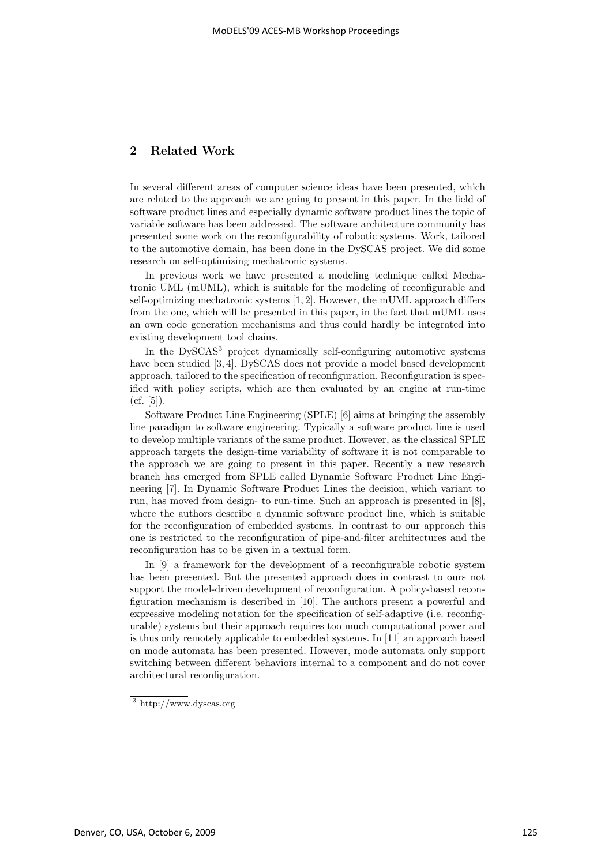# **2 Related Work**

In several different areas of computer science ideas have been presented, which are related to the approach we are going to present in this paper. In the field of software product lines and especially dynamic software product lines the topic of variable software has been addressed. The software architecture community has presented some work on the reconfigurability of robotic systems. Work, tailored to the automotive domain, has been done in the DySCAS project. We did some research on self-optimizing mechatronic systems.

In previous work we have presented a modeling technique called Mechatronic UML (mUML), which is suitable for the modeling of reconfigurable and self-optimizing mechatronic systems [1, 2]. However, the mUML approach differs from the one, which will be presented in this paper, in the fact that mUML uses an own code generation mechanisms and thus could hardly be integrated into existing development tool chains.

In the DySCAS<sup>3</sup> project dynamically self-configuring automotive systems have been studied [3, 4]. DySCAS does not provide a model based development approach, tailored to the specification of reconfiguration. Reconfiguration is specified with policy scripts, which are then evaluated by an engine at run-time  $(cf. [5])$ .

Software Product Line Engineering (SPLE) [6] aims at bringing the assembly line paradigm to software engineering. Typically a software product line is used to develop multiple variants of the same product. However, as the classical SPLE approach targets the design-time variability of software it is not comparable to the approach we are going to present in this paper. Recently a new research branch has emerged from SPLE called Dynamic Software Product Line Engineering [7]. In Dynamic Software Product Lines the decision, which variant to run, has moved from design- to run-time. Such an approach is presented in [8], where the authors describe a dynamic software product line, which is suitable for the reconfiguration of embedded systems. In contrast to our approach this one is restricted to the reconfiguration of pipe-and-filter architectures and the reconfiguration has to be given in a textual form.

In [9] a framework for the development of a reconfigurable robotic system has been presented. But the presented approach does in contrast to ours not support the model-driven development of reconfiguration. A policy-based reconfiguration mechanism is described in [10]. The authors present a powerful and expressive modeling notation for the specification of self-adaptive (i.e. reconfigurable) systems but their approach requires too much computational power and is thus only remotely applicable to embedded systems. In [11] an approach based on mode automata has been presented. However, mode automata only support switching between different behaviors internal to a component and do not cover architectural reconfiguration.

<sup>3</sup> http://www.dyscas.org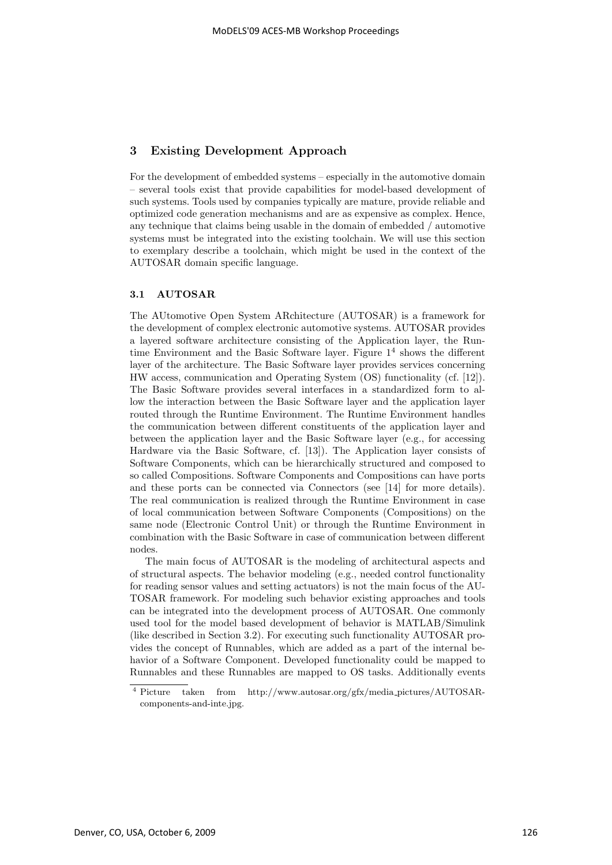## **3 Existing Development Approach**

For the development of embedded systems – especially in the automotive domain – several tools exist that provide capabilities for model-based development of such systems. Tools used by companies typically are mature, provide reliable and optimized code generation mechanisms and are as expensive as complex. Hence, any technique that claims being usable in the domain of embedded / automotive systems must be integrated into the existing toolchain. We will use this section to exemplary describe a toolchain, which might be used in the context of the AUTOSAR domain specific language.

#### **3.1 AUTOSAR**

The AUtomotive Open System ARchitecture (AUTOSAR) is a framework for the development of complex electronic automotive systems. AUTOSAR provides a layered software architecture consisting of the Application layer, the Runtime Environment and the Basic Software layer. Figure  $1<sup>4</sup>$  shows the different layer of the architecture. The Basic Software layer provides services concerning HW access, communication and Operating System (OS) functionality (cf. [12]). The Basic Software provides several interfaces in a standardized form to allow the interaction between the Basic Software layer and the application layer routed through the Runtime Environment. The Runtime Environment handles the communication between different constituents of the application layer and between the application layer and the Basic Software layer (e.g., for accessing Hardware via the Basic Software, cf. [13]). The Application layer consists of Software Components, which can be hierarchically structured and composed to so called Compositions. Software Components and Compositions can have ports and these ports can be connected via Connectors (see [14] for more details). The real communication is realized through the Runtime Environment in case of local communication between Software Components (Compositions) on the same node (Electronic Control Unit) or through the Runtime Environment in combination with the Basic Software in case of communication between different nodes.

The main focus of AUTOSAR is the modeling of architectural aspects and of structural aspects. The behavior modeling (e.g., needed control functionality for reading sensor values and setting actuators) is not the main focus of the AU-TOSAR framework. For modeling such behavior existing approaches and tools can be integrated into the development process of AUTOSAR. One commonly used tool for the model based development of behavior is MATLAB/Simulink (like described in Section 3.2). For executing such functionality AUTOSAR provides the concept of Runnables, which are added as a part of the internal behavior of a Software Component. Developed functionality could be mapped to Runnables and these Runnables are mapped to OS tasks. Additionally events

<sup>4</sup> Picture taken from http://www.autosar.org/gfx/media pictures/AUTOSARcomponents-and-inte.jpg.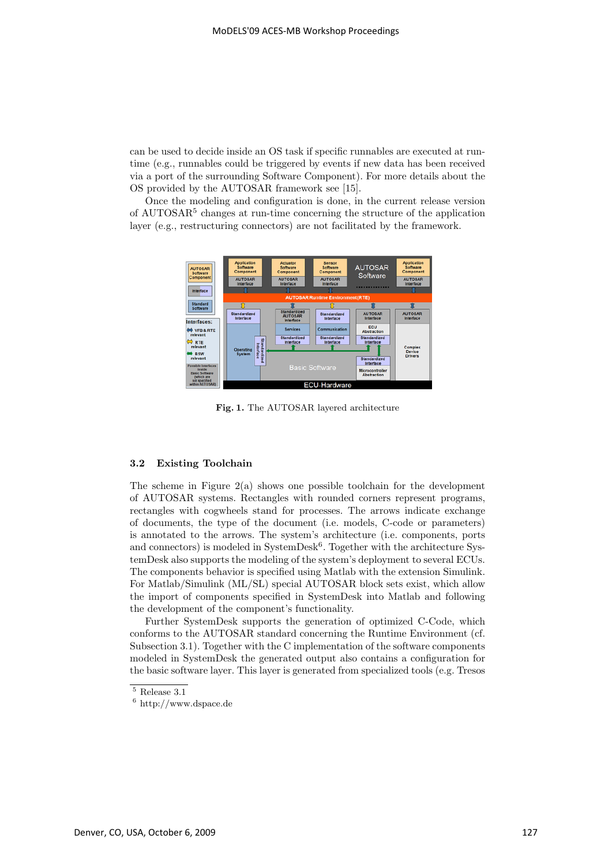can be used to decide inside an OS task if specific runnables are executed at runtime (e.g., runnables could be triggered by events if new data has been received via a port of the surrounding Software Component). For more details about the OS provided by the AUTOSAR framework see [15].

Once the modeling and configuration is done, in the current release version of AUTOSAR<sup>5</sup> changes at run-time concerning the structure of the application layer (e.g., restructuring connectors) are not facilitated by the framework.



**Fig. 1.** The AUTOSAR layered architecture

#### **3.2 Existing Toolchain**

The scheme in Figure  $2(a)$  shows one possible toolchain for the development of AUTOSAR systems. Rectangles with rounded corners represent programs, rectangles with cogwheels stand for processes. The arrows indicate exchange of documents, the type of the document (i.e. models, C-code or parameters) is annotated to the arrows. The system's architecture (i.e. components, ports and connectors) is modeled in SystemDesk $6$ . Together with the architecture SystemDesk also supports the modeling of the system's deployment to several ECUs. The components behavior is specified using Matlab with the extension Simulink. For Matlab/Simulink (ML/SL) special AUTOSAR block sets exist, which allow the import of components specified in SystemDesk into Matlab and following the development of the component's functionality.

Further SystemDesk supports the generation of optimized C-Code, which conforms to the AUTOSAR standard concerning the Runtime Environment (cf. Subsection 3.1). Together with the C implementation of the software components modeled in SystemDesk the generated output also contains a configuration for the basic software layer. This layer is generated from specialized tools (e.g. Tresos

 $\overline{\phantom{a}}$ <sup>5</sup> Release 3.1

<sup>6</sup> http://www.dspace.de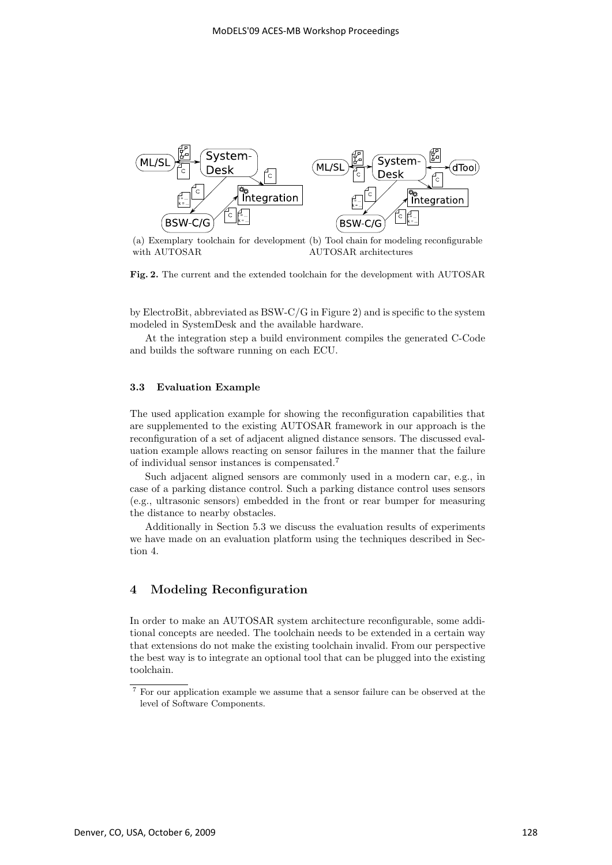

(a) Exemplary toolchain for development (b) Tool chain for modeling reconfigurable with AUTOSAR AUTOSAR architectures

**Fig. 2.** The current and the extended toolchain for the development with AUTOSAR

by ElectroBit, abbreviated as BSW-C/G in Figure 2) and is specific to the system modeled in SystemDesk and the available hardware.

At the integration step a build environment compiles the generated C-Code and builds the software running on each ECU.

## **3.3 Evaluation Example**

The used application example for showing the reconfiguration capabilities that are supplemented to the existing AUTOSAR framework in our approach is the reconfiguration of a set of adjacent aligned distance sensors. The discussed evaluation example allows reacting on sensor failures in the manner that the failure of individual sensor instances is compensated.<sup>7</sup>

Such adjacent aligned sensors are commonly used in a modern car, e.g., in case of a parking distance control. Such a parking distance control uses sensors (e.g., ultrasonic sensors) embedded in the front or rear bumper for measuring the distance to nearby obstacles.

Additionally in Section 5.3 we discuss the evaluation results of experiments we have made on an evaluation platform using the techniques described in Section 4.

## **4 Modeling Reconfiguration**

In order to make an AUTOSAR system architecture reconfigurable, some additional concepts are needed. The toolchain needs to be extended in a certain way that extensions do not make the existing toolchain invalid. From our perspective the best way is to integrate an optional tool that can be plugged into the existing toolchain.

<sup>7</sup> For our application example we assume that a sensor failure can be observed at the level of Software Components.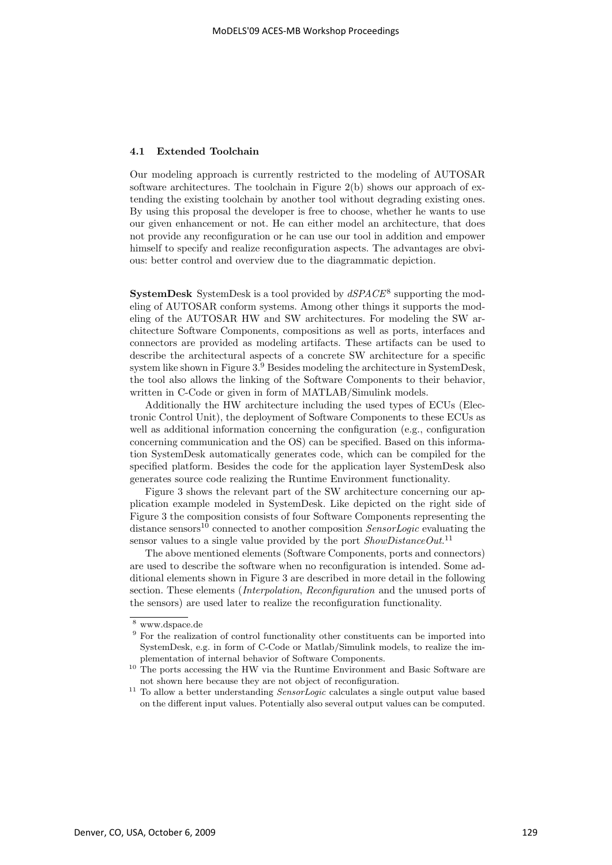#### **4.1 Extended Toolchain**

Our modeling approach is currently restricted to the modeling of AUTOSAR software architectures. The toolchain in Figure 2(b) shows our approach of extending the existing toolchain by another tool without degrading existing ones. By using this proposal the developer is free to choose, whether he wants to use our given enhancement or not. He can either model an architecture, that does not provide any reconfiguration or he can use our tool in addition and empower himself to specify and realize reconfiguration aspects. The advantages are obvious: better control and overview due to the diagrammatic depiction.

**SystemDesk** SystemDesk is a tool provided by  $dSPACE^8$  supporting the modeling of AUTOSAR conform systems. Among other things it supports the modeling of the AUTOSAR HW and SW architectures. For modeling the SW architecture Software Components, compositions as well as ports, interfaces and connectors are provided as modeling artifacts. These artifacts can be used to describe the architectural aspects of a concrete SW architecture for a specific system like shown in Figure 3.<sup>9</sup> Besides modeling the architecture in SystemDesk, the tool also allows the linking of the Software Components to their behavior, written in C-Code or given in form of MATLAB/Simulink models.

Additionally the HW architecture including the used types of ECUs (Electronic Control Unit), the deployment of Software Components to these ECUs as well as additional information concerning the configuration (e.g., configuration concerning communication and the OS) can be specified. Based on this information SystemDesk automatically generates code, which can be compiled for the specified platform. Besides the code for the application layer SystemDesk also generates source code realizing the Runtime Environment functionality.

Figure 3 shows the relevant part of the SW architecture concerning our application example modeled in SystemDesk. Like depicted on the right side of Figure 3 the composition consists of four Software Components representing the distance sensors<sup>10</sup> connected to another composition *SensorLogic* evaluating the sensor values to a single value provided by the port  $ShowDistanceOut$ .<sup>11</sup>

The above mentioned elements (Software Components, ports and connectors) are used to describe the software when no reconfiguration is intended. Some additional elements shown in Figure 3 are described in more detail in the following section. These elements *(Interpolation, Reconfiguration* and the unused ports of the sensors) are used later to realize the reconfiguration functionality.

<sup>8</sup> www.dspace.de

<sup>&</sup>lt;sup>9</sup> For the realization of control functionality other constituents can be imported into SystemDesk, e.g. in form of C-Code or Matlab/Simulink models, to realize the implementation of internal behavior of Software Components.

<sup>&</sup>lt;sup>10</sup> The ports accessing the HW via the Runtime Environment and Basic Software are not shown here because they are not object of reconfiguration.

 $11$  To allow a better understanding *SensorLogic* calculates a single output value based on the different input values. Potentially also several output values can be computed.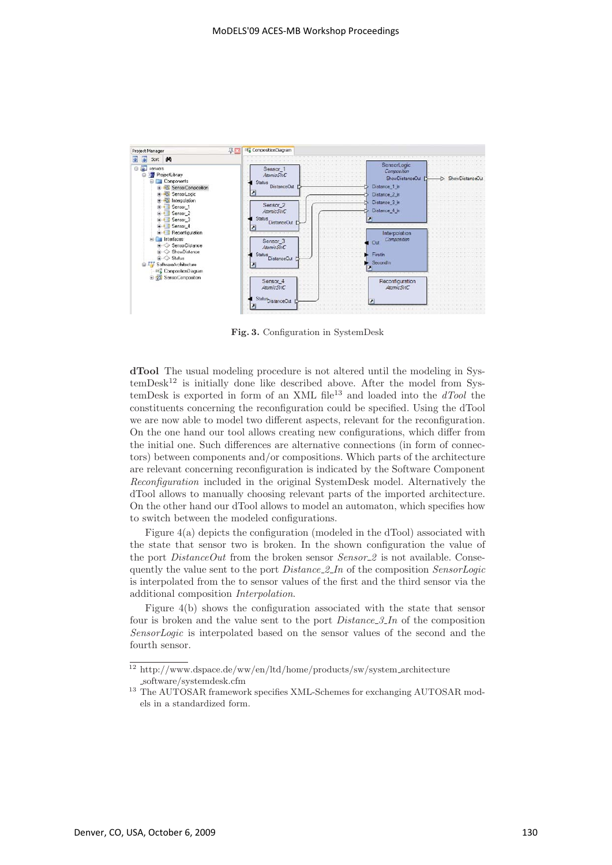

**Fig. 3.** Configuration in SystemDesk

**dTool** The usual modeling procedure is not altered until the modeling in Sys $temDesk<sup>12</sup>$  is initially done like described above. After the model from SystemDesk is exported in form of an XML file<sup>13</sup> and loaded into the  $dTool$  the constituents concerning the reconfiguration could be specified. Using the dTool we are now able to model two different aspects, relevant for the reconfiguration. On the one hand our tool allows creating new configurations, which differ from the initial one. Such differences are alternative connections (in form of connectors) between components and/or compositions. Which parts of the architecture are relevant concerning reconfiguration is indicated by the Software Component Reconfiguration included in the original SystemDesk model. Alternatively the dTool allows to manually choosing relevant parts of the imported architecture. On the other hand our dTool allows to model an automaton, which specifies how to switch between the modeled configurations.

Figure 4(a) depicts the configuration (modeled in the dTool) associated with the state that sensor two is broken. In the shown configuration the value of the port  $DistanceOut$  from the broken sensor  $Sensor_2$  is not available. Consequently the value sent to the port *Distance 2.In* of the composition *SensorLogic* is interpolated from the to sensor values of the first and the third sensor via the additional composition Interpolation.

Figure 4(b) shows the configuration associated with the state that sensor four is broken and the value sent to the port  $Distance \text{.} 3 \text{.} In$  of the composition SensorLogic is interpolated based on the sensor values of the second and the fourth sensor.

 $^{\overline{12} }$ http://www.dspace.de/ww/en/ltd/home/products/sw/system\_architecture software/systemdesk.cfm

<sup>&</sup>lt;sup>13</sup> The AUTOSAR framework specifies XML-Schemes for exchanging AUTOSAR models in a standardized form.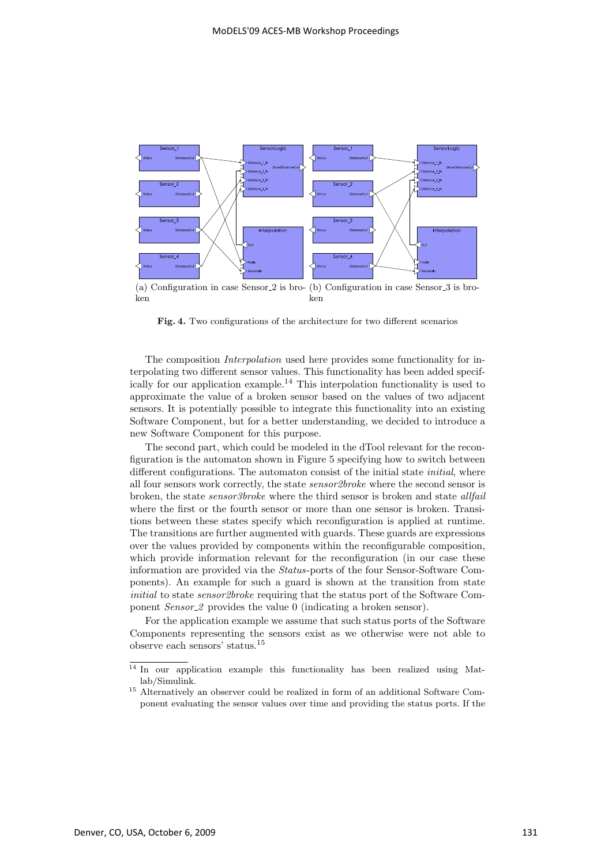

**Fig. 4.** Two configurations of the architecture for two different scenarios

The composition Interpolation used here provides some functionality for interpolating two different sensor values. This functionality has been added specifically for our application example.<sup>14</sup> This interpolation functionality is used to approximate the value of a broken sensor based on the values of two adjacent sensors. It is potentially possible to integrate this functionality into an existing Software Component, but for a better understanding, we decided to introduce a new Software Component for this purpose.

The second part, which could be modeled in the dTool relevant for the reconfiguration is the automaton shown in Figure 5 specifying how to switch between different configurations. The automaton consist of the initial state *initial*, where all four sensors work correctly, the state sensor2broke where the second sensor is broken, the state sensor3broke where the third sensor is broken and state allfail where the first or the fourth sensor or more than one sensor is broken. Transitions between these states specify which reconfiguration is applied at runtime. The transitions are further augmented with guards. These guards are expressions over the values provided by components within the reconfigurable composition, which provide information relevant for the reconfiguration (in our case these information are provided via the Status-ports of the four Sensor-Software Components). An example for such a guard is shown at the transition from state initial to state *sensor2broke* requiring that the status port of the Software Component Sensor 2 provides the value 0 (indicating a broken sensor).

For the application example we assume that such status ports of the Software Components representing the sensors exist as we otherwise were not able to observe each sensors' status.<sup>15</sup>

 $\overline{14}$  In our application example this functionality has been realized using Matlab/Simulink.

<sup>&</sup>lt;sup>15</sup> Alternatively an observer could be realized in form of an additional Software Component evaluating the sensor values over time and providing the status ports. If the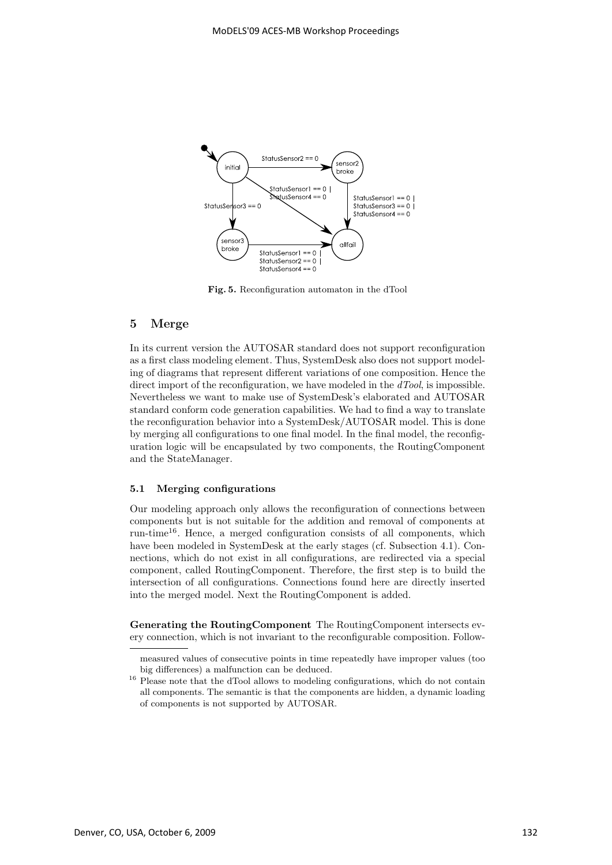

**Fig. 5.** Reconfiguration automaton in the dTool

## **5 Merge**

In its current version the AUTOSAR standard does not support reconfiguration as a first class modeling element. Thus, SystemDesk also does not support modeling of diagrams that represent different variations of one composition. Hence the direct import of the reconfiguration, we have modeled in the *dTool*, is impossible. Nevertheless we want to make use of SystemDesk's elaborated and AUTOSAR standard conform code generation capabilities. We had to find a way to translate the reconfiguration behavior into a SystemDesk/AUTOSAR model. This is done by merging all configurations to one final model. In the final model, the reconfiguration logic will be encapsulated by two components, the RoutingComponent and the StateManager.

#### **5.1 Merging configurations**

Our modeling approach only allows the reconfiguration of connections between components but is not suitable for the addition and removal of components at run-time<sup>16</sup>. Hence, a merged configuration consists of all components, which have been modeled in SystemDesk at the early stages (cf. Subsection 4.1). Connections, which do not exist in all configurations, are redirected via a special component, called RoutingComponent. Therefore, the first step is to build the intersection of all configurations. Connections found here are directly inserted into the merged model. Next the RoutingComponent is added.

**Generating the RoutingComponent** The RoutingComponent intersects every connection, which is not invariant to the reconfigurable composition. Follow-

measured values of consecutive points in time repeatedly have improper values (too big differences) a malfunction can be deduced.

<sup>&</sup>lt;sup>16</sup> Please note that the dTool allows to modeling configurations, which do not contain all components. The semantic is that the components are hidden, a dynamic loading of components is not supported by AUTOSAR.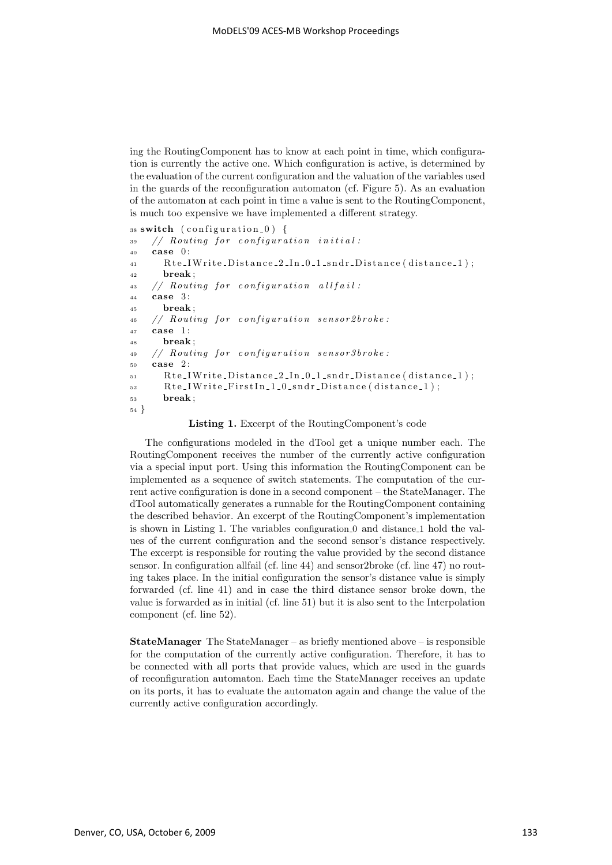ing the RoutingComponent has to know at each point in time, which configuration is currently the active one. Which configuration is active, is determined by the evaluation of the current configuration and the valuation of the variables used in the guards of the reconfiguration automaton (cf. Figure 5). As an evaluation of the automaton at each point in time a value is sent to the RoutingComponent, is much too expensive we have implemented a different strategy.

```
38 switch (configuration 0) {<br>\frac{39}{4} // Routing for configura
     // Routing for configuration initial:
40 case 0:<br>41 Rte 1
         Rte_IWrite_Distance_2_In_0_1_sndr_Distance (distance_1);
<sup>42</sup> break;<br><sup>43</sup> // Routing for configuration allfail:
44 case 3:<br>45 break:
<sup>45</sup> break;<br><sup>46</sup> // Routing for configuration sensor2broke:
47 case 1:<br>48 break:
<sup>48</sup> break;<br><sup>49</sup> // Routing for configuration sensor3broke:
50 case 2:<br>51 Rte I
         Rte_IWrite_Distance_2_In_0_1_sndr_Distance (distance_1);
52 Rte IWrite FirstIn 1 0 sndr Distance (distance 1);
53 break ;
54 }
```
#### **Listing 1.** Excerpt of the RoutingComponent's code

The configurations modeled in the dTool get a unique number each. The RoutingComponent receives the number of the currently active configuration via a special input port. Using this information the RoutingComponent can be implemented as a sequence of switch statements. The computation of the current active configuration is done in a second component – the StateManager. The dTool automatically generates a runnable for the RoutingComponent containing the described behavior. An excerpt of the RoutingComponent's implementation is shown in Listing 1. The variables configuration 0 and distance 1 hold the values of the current configuration and the second sensor's distance respectively. The excerpt is responsible for routing the value provided by the second distance sensor. In configuration allfail (cf. line 44) and sensor2broke (cf. line 47) no routing takes place. In the initial configuration the sensor's distance value is simply forwarded (cf. line 41) and in case the third distance sensor broke down, the value is forwarded as in initial (cf. line 51) but it is also sent to the Interpolation component (cf. line 52).

**StateManager** The StateManager – as briefly mentioned above – is responsible for the computation of the currently active configuration. Therefore, it has to be connected with all ports that provide values, which are used in the guards of reconfiguration automaton. Each time the StateManager receives an update on its ports, it has to evaluate the automaton again and change the value of the currently active configuration accordingly.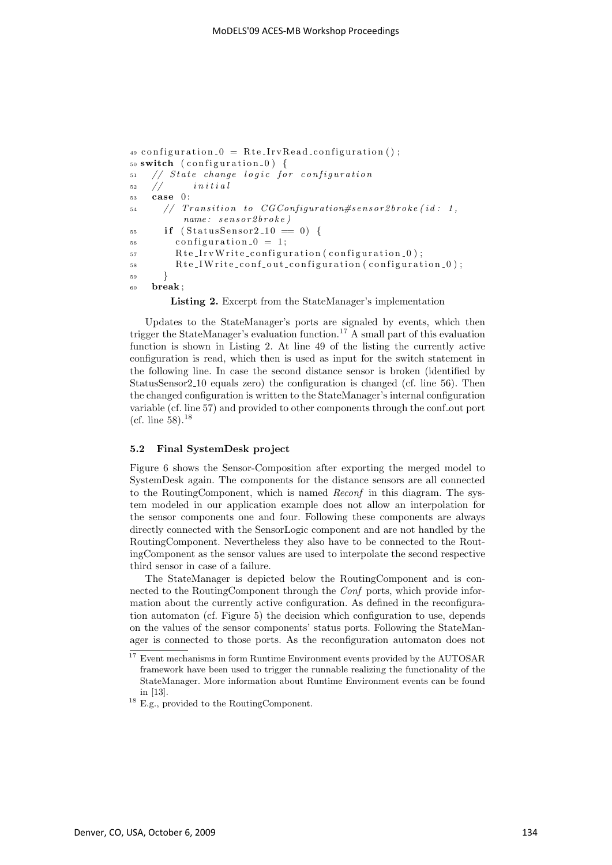```
49 configuration 0 = \text{RteIrvRead}_condition();
50 switch (configuration 0) {<br>51 // State change logic fo
    // State change logic for configuration52 / / in it i al
53 case 0:<br>\frac{54}{7} // \frac{74}{7}// Transition to CGConfiguration#sensor2broke(id: 1,
           name: sensor2broke)
55 if (StatusSensor2.10 = 0) {<br>56 configuration 0 = 1;
         configuration 0 = 1;
57 Rte IrvWrite configuration ( configuration 0);
58 Rte_IWrite_conf_out_configuration (configuration 0);
59 }
60 break ;
```
**Listing 2.** Excerpt from the StateManager's implementation

Updates to the StateManager's ports are signaled by events, which then trigger the StateManager's evaluation function.<sup>17</sup> A small part of this evaluation function is shown in Listing 2. At line 49 of the listing the currently active configuration is read, which then is used as input for the switch statement in the following line. In case the second distance sensor is broken (identified by StatusSensor2 10 equals zero) the configuration is changed (cf. line 56). Then the changed configuration is written to the StateManager's internal configuration variable (cf. line 57) and provided to other components through the conf out port (cf. line  $58$ ).<sup>18</sup>

#### **5.2 Final SystemDesk project**

Figure 6 shows the Sensor-Composition after exporting the merged model to SystemDesk again. The components for the distance sensors are all connected to the RoutingComponent, which is named Reconf in this diagram. The system modeled in our application example does not allow an interpolation for the sensor components one and four. Following these components are always directly connected with the SensorLogic component and are not handled by the RoutingComponent. Nevertheless they also have to be connected to the RoutingComponent as the sensor values are used to interpolate the second respective third sensor in case of a failure.

The StateManager is depicted below the RoutingComponent and is connected to the RoutingComponent through the Conf ports, which provide information about the currently active configuration. As defined in the reconfiguration automaton (cf. Figure 5) the decision which configuration to use, depends on the values of the sensor components' status ports. Following the StateManager is connected to those ports. As the reconfiguration automaton does not

 $^{17}$  Event mechanisms in form Runtime Environment events provided by the AUTOSAR framework have been used to trigger the runnable realizing the functionality of the StateManager. More information about Runtime Environment events can be found in [13].

<sup>18</sup> E.g., provided to the RoutingComponent.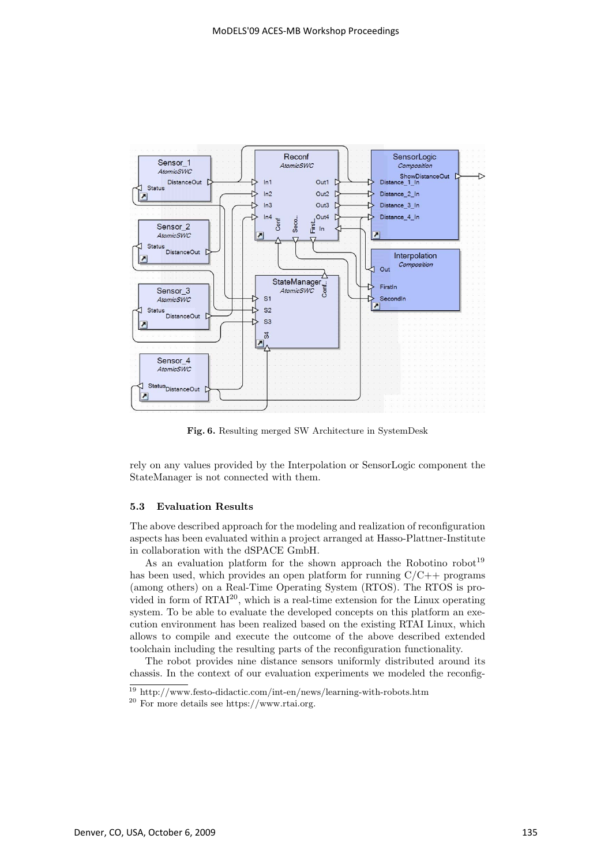

**Fig. 6.** Resulting merged SW Architecture in SystemDesk

rely on any values provided by the Interpolation or SensorLogic component the StateManager is not connected with them.

#### **5.3 Evaluation Results**

The above described approach for the modeling and realization of reconfiguration aspects has been evaluated within a project arranged at Hasso-Plattner-Institute in collaboration with the dSPACE GmbH.

As an evaluation platform for the shown approach the Robotino  $robot<sup>19</sup>$ has been used, which provides an open platform for running  $C/C++$  programs (among others) on a Real-Time Operating System (RTOS). The RTOS is provided in form of RTAI<sup>20</sup>, which is a real-time extension for the Linux operating system. To be able to evaluate the developed concepts on this platform an execution environment has been realized based on the existing RTAI Linux, which allows to compile and execute the outcome of the above described extended toolchain including the resulting parts of the reconfiguration functionality.

The robot provides nine distance sensors uniformly distributed around its chassis. In the context of our evaluation experiments we modeled the reconfig-

<sup>19</sup> http://www.festo-didactic.com/int-en/news/learning-with-robots.htm

 $^{20}$  For more details see https://www.rtai.org.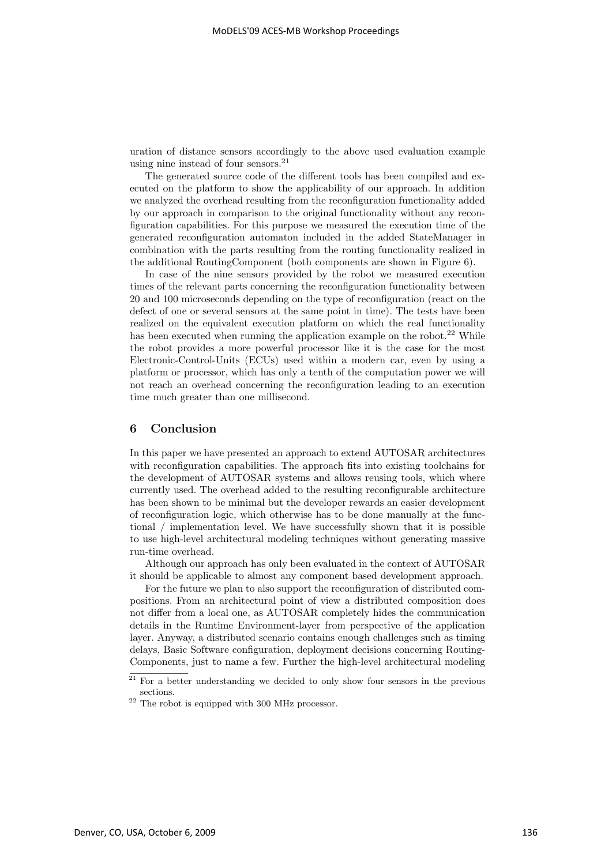uration of distance sensors accordingly to the above used evaluation example using nine instead of four sensors.<sup>21</sup>

The generated source code of the different tools has been compiled and executed on the platform to show the applicability of our approach. In addition we analyzed the overhead resulting from the reconfiguration functionality added by our approach in comparison to the original functionality without any reconfiguration capabilities. For this purpose we measured the execution time of the generated reconfiguration automaton included in the added StateManager in combination with the parts resulting from the routing functionality realized in the additional RoutingComponent (both components are shown in Figure 6).

In case of the nine sensors provided by the robot we measured execution times of the relevant parts concerning the reconfiguration functionality between 20 and 100 microseconds depending on the type of reconfiguration (react on the defect of one or several sensors at the same point in time). The tests have been realized on the equivalent execution platform on which the real functionality has been executed when running the application example on the robot.<sup>22</sup> While the robot provides a more powerful processor like it is the case for the most Electronic-Control-Units (ECUs) used within a modern car, even by using a platform or processor, which has only a tenth of the computation power we will not reach an overhead concerning the reconfiguration leading to an execution time much greater than one millisecond.

### **6 Conclusion**

In this paper we have presented an approach to extend AUTOSAR architectures with reconfiguration capabilities. The approach fits into existing toolchains for the development of AUTOSAR systems and allows reusing tools, which where currently used. The overhead added to the resulting reconfigurable architecture has been shown to be minimal but the developer rewards an easier development of reconfiguration logic, which otherwise has to be done manually at the functional / implementation level. We have successfully shown that it is possible to use high-level architectural modeling techniques without generating massive run-time overhead.

Although our approach has only been evaluated in the context of AUTOSAR it should be applicable to almost any component based development approach.

For the future we plan to also support the reconfiguration of distributed compositions. From an architectural point of view a distributed composition does not differ from a local one, as AUTOSAR completely hides the communication details in the Runtime Environment-layer from perspective of the application layer. Anyway, a distributed scenario contains enough challenges such as timing delays, Basic Software configuration, deployment decisions concerning Routing-Components, just to name a few. Further the high-level architectural modeling

 $\frac{21}{21}$  For a better understanding we decided to only show four sensors in the previous sections.

 $22$  The robot is equipped with 300 MHz processor.